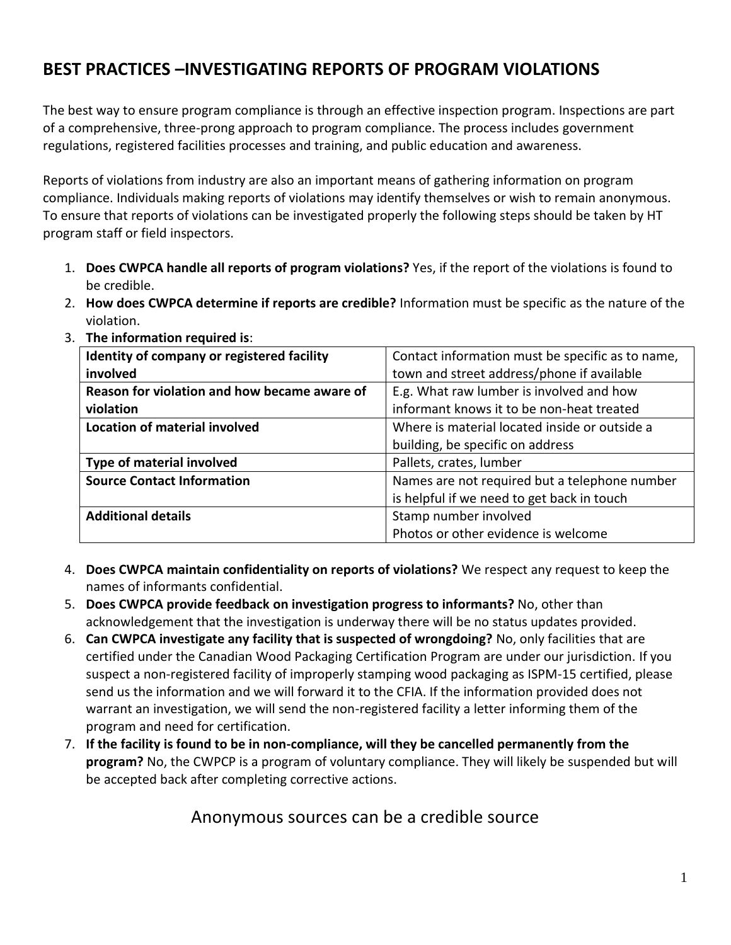## **BEST PRACTICES –INVESTIGATING REPORTS OF PROGRAM VIOLATIONS**

The best way to ensure program compliance is through an effective inspection program. Inspections are part of a comprehensive, three-prong approach to program compliance. The process includes government regulations, registered facilities processes and training, and public education and awareness.

Reports of violations from industry are also an important means of gathering information on program compliance. Individuals making reports of violations may identify themselves or wish to remain anonymous. To ensure that reports of violations can be investigated properly the following steps should be taken by HT program staff or field inspectors.

- 1. **Does CWPCA handle all reports of program violations?** Yes, if the report of the violations is found to be credible.
- 2. **How does CWPCA determine if reports are credible?** Information must be specific as the nature of the violation.

| Identity of company or registered facility   | Contact information must be specific as to name, |
|----------------------------------------------|--------------------------------------------------|
| involved                                     | town and street address/phone if available       |
| Reason for violation and how became aware of | E.g. What raw lumber is involved and how         |
| violation                                    | informant knows it to be non-heat treated        |
| Location of material involved                | Where is material located inside or outside a    |
|                                              | building, be specific on address                 |
| Type of material involved                    | Pallets, crates, lumber                          |
| <b>Source Contact Information</b>            | Names are not required but a telephone number    |
|                                              | is helpful if we need to get back in touch       |
| <b>Additional details</b>                    | Stamp number involved                            |
|                                              | Photos or other evidence is welcome              |

3. **The information required is**:

- 4. **Does CWPCA maintain confidentiality on reports of violations?** We respect any request to keep the names of informants confidential.
- 5. **Does CWPCA provide feedback on investigation progress to informants?** No, other than acknowledgement that the investigation is underway there will be no status updates provided.
- 6. **Can CWPCA investigate any facility that is suspected of wrongdoing?** No, only facilities that are certified under the Canadian Wood Packaging Certification Program are under our jurisdiction. If you suspect a non-registered facility of improperly stamping wood packaging as ISPM-15 certified, please send us the information and we will forward it to the CFIA. If the information provided does not warrant an investigation, we will send the non-registered facility a letter informing them of the program and need for certification.
- 7. **If the facility is found to be in non-compliance, will they be cancelled permanently from the program?** No, the CWPCP is a program of voluntary compliance. They will likely be suspended but will be accepted back after completing corrective actions.

## Anonymous sources can be a credible source